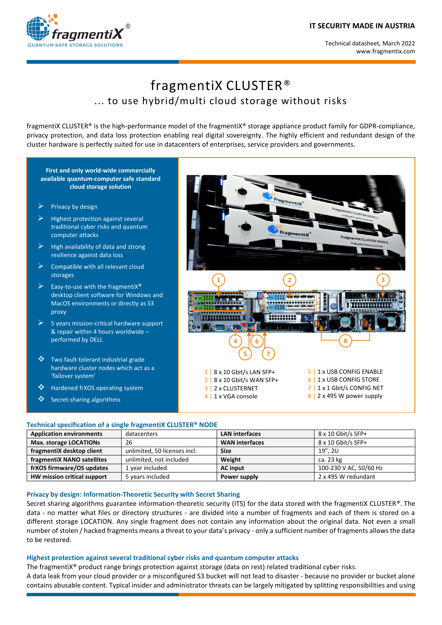#### **IT SECURITY MADE IN AUSTRIA**





# fragmentiX CLUSTER® ... to use hybrid/multi cloud storage without risks

fragmentiX CLUSTER® is the high-performance model of the fragmentiX® storage appliance product family for GDPR-compliance, privacy protection, and data loss protection enabling real digital sovereignty. The highly efficient and redundant design of the cluster hardware is perfectly suited for use in datacenters of enterprises, service providers and governments.

#### **First and only world-wide commercially available quantum-computer safe standard cloud storage solution**

- Privacy by design
- Highest protection against several traditional cyber risks and quantum computer attacks
- High availability of data and strong resilience against data loss
- Compatible with all relevant cloud storages
- Easy-to-use with the fragmentiX® desktop client software for Windows and MacOS environments or directly as S3 proxy
- 5 years mission-critical hardware support & repair within 4 hours worldwide – performed by DELL
- **❖** Two fault-tolerant industrial grade hardware cluster nodes which act as a 'failover system'
- ❖ Hardened frXOS operating system
- Secret-sharing algorithms



#### **Technical specification of a single fragmentiX CLUSTER® NODE**

| <b>Application environments</b> | datacenters                  | <b>LAN interfaces</b> | $8 \times 10$ Gbit/s SFP+ |
|---------------------------------|------------------------------|-----------------------|---------------------------|
| Max. storage LOCATIONs          | 26                           | <b>WAN</b> interfaces | 8 x 10 Gbit/s SFP+        |
| fragmentiX desktop client       | unlimited, 50 licenses incl. | <b>Size</b>           | 19", 2U                   |
| fragmentiX NANO satellites      | unlimited, not included      | Weight                | ca. 23 kg                 |
| frXOS firmware/OS updates       | 1 year included              | <b>AC</b> input       | 100-230 V AC, 50/60 Hz    |
| HW mission critical support     | 5 years included             | Power supply          | 2 x 495 W redundant       |

#### **Privacy by design: Information-Theoretic Security with Secret Sharing**

Secret sharing algorithms guarantee information-theoretic security (ITS) for the data stored with the fragmentiX CLUSTER®. The data - no matter what files or directory structures - are divided into a number of fragments and each of them is stored on a different storage LOCATION. Any single fragment does not contain any information about the original data. Not even a small number of stolen / hacked fragments means a threat to your data's privacy - only a sufficient number of fragments allows the data to be restored.

#### **Highest protection against several traditional cyber risks and quantum computer attacks**

The fragmentiX® product range brings protection against storage (data on rest) related traditional cyber risks.

A data leak from your cloud provider or a misconfigured S3 bucket will not lead to disaster - because no provider or bucket alone contains abusable content. Typical insider and administrator threats can be largely mitigated by splitting responsibilities and using